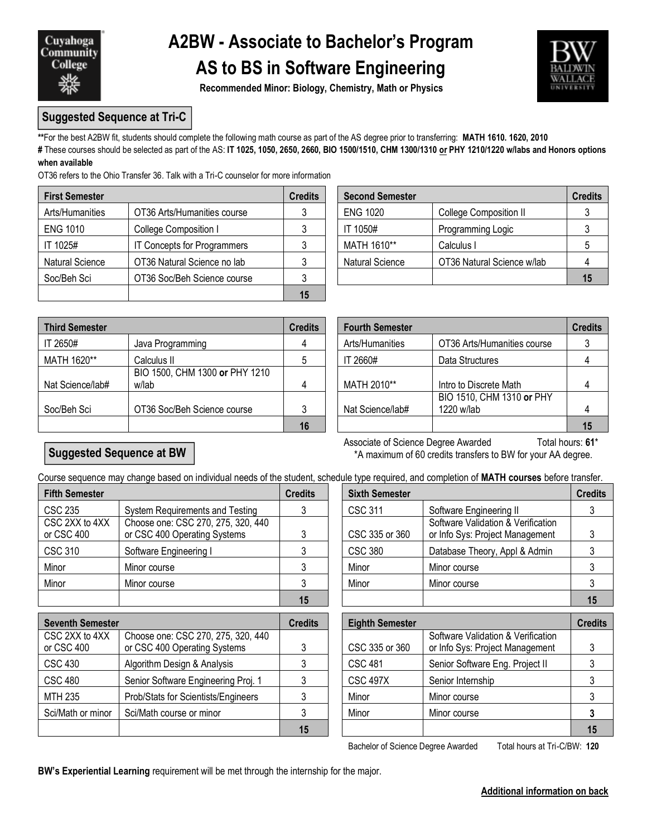

# **A2BW - Associate to Bachelor's Program AS to BS in Software Engineering**



 **Recommended Minor: Biology, Chemistry, Math or Physics**

#### **Suggested Sequence at Tri-C**

**\*\***For the best A2BW fit, students should complete the following math course as part of the AS degree prior to transferring: **MATH 1610. 1620, 2010 #** These courses should be selected as part of the AS: **IT 1025, 1050, 2650, 2660, BIO 1500/1510, CHM 1300/1310 or PHY 1210/1220 w/labs and Honors options when available**

OT36 refers to the Ohio Transfer 36. Talk with a Tri-C counselor for more information

| <b>First Semester</b>  |                             | <b>Credits</b> | <b>Second Semester</b> |                               | <b>Credits</b> |
|------------------------|-----------------------------|----------------|------------------------|-------------------------------|----------------|
| Arts/Humanities        | OT36 Arts/Humanities course |                | <b>ENG 1020</b>        | <b>College Composition II</b> |                |
| <b>ENG 1010</b>        | College Composition I       |                | IT 1050#               | Programming Logic             |                |
| IT 1025#               | IT Concepts for Programmers |                | MATH 1610**            | Calculus I                    |                |
| <b>Natural Science</b> | OT36 Natural Science no lab |                | <b>Natural Science</b> | OT36 Natural Science w/lab    |                |
| Soc/Beh Sci            | OT36 Soc/Beh Science course |                |                        |                               | 15             |
|                        |                             | 15             |                        |                               |                |

| <b>Second Semester</b> |                            | <b>Credits</b> |
|------------------------|----------------------------|----------------|
| <b>ENG 1020</b>        | College Composition II     | 3              |
| IT 1050#               | Programming Logic          | 3              |
| MATH 1610**            | Calculus I                 | 5              |
| Natural Science        | OT36 Natural Science w/lab |                |
|                        |                            | 15             |

| <b>Third Semester</b> |                                         | <b>Credits</b> | <b>Fourth Semester</b> |                                         | <b>Credits</b> |
|-----------------------|-----------------------------------------|----------------|------------------------|-----------------------------------------|----------------|
| IT 2650#              | Java Programming                        |                | Arts/Humanities        | OT36 Arts/Humanities course             |                |
| MATH 1620**           | Calculus II                             |                | IT 2660#               | Data Structures                         |                |
| Nat Science/lab#      | BIO 1500, CHM 1300 or PHY 1210<br>w/lab |                | MATH 2010**            | Intro to Discrete Math                  |                |
| Soc/Beh Sci           | OT36 Soc/Beh Science course             |                | Nat Science/lab#       | BIO 1510, CHM 1310 or PHY<br>1220 w/lab |                |
|                       |                                         | 16             |                        |                                         |                |

|                                         | <b>Credits</b> | <b>Fourth Semester</b> | <b>Credits</b>                          |  |
|-----------------------------------------|----------------|------------------------|-----------------------------------------|--|
| Java Programming                        |                | Arts/Humanities        | OT36 Arts/Humanities course             |  |
| Calculus II                             | 5              | IT 2660#               | Data Structures                         |  |
| BIO 1500, CHM 1300 or PHY 1210<br>w/lab | 4              | MATH 2010**            | Intro to Discrete Math                  |  |
| OT36 Soc/Beh Science course             | 3              | Nat Science/lab#       | BIO 1510, CHM 1310 or PHY<br>1220 w/lab |  |
|                                         | 16             |                        |                                         |  |

## **Suggested Sequence at BW**

Associate of Science Degree Awarded Total hours: 61<sup>\*</sup> \*A maximum of 60 credits transfers to BW for your AA degree.

Course sequence may change based on individual needs of the student, schedule type required, and completion of **MATH courses** before transfer.

| <b>Fifth Semester</b>        |                                                                    | <b>Credits</b> | <b>Sixth Semester</b> | <b>Credits</b>                                                        |  |
|------------------------------|--------------------------------------------------------------------|----------------|-----------------------|-----------------------------------------------------------------------|--|
| <b>CSC 235</b>               | System Requirements and Testing                                    |                | <b>CSC 311</b>        | Software Engineering II                                               |  |
| CSC 2XX to 4XX<br>or CSC 400 | Choose one: CSC 270, 275, 320, 440<br>or CSC 400 Operating Systems |                | CSC 335 or 360        | Software Validation & Verification<br>or Info Sys: Project Management |  |
| <b>CSC 310</b>               | Software Engineering I                                             |                | <b>CSC 380</b>        | Database Theory, Appl & Admin                                         |  |
| Minor                        | Minor course                                                       |                | Minor                 | Minor course                                                          |  |
| Minor                        | Minor course                                                       |                | Minor                 | Minor course                                                          |  |
|                              |                                                                    | 15             |                       |                                                                       |  |

| <b>Seventh Semester</b> |                                     | <b>Credits</b> | <b>Eighth Semester</b> |                 |                                    | <b>Credits</b> |  |
|-------------------------|-------------------------------------|----------------|------------------------|-----------------|------------------------------------|----------------|--|
| CSC 2XX to 4XX          | Choose one: CSC 270, 275, 320, 440  |                |                        |                 | Software Validation & Verification |                |  |
| or CSC 400              | or CSC 400 Operating Systems        |                |                        | CSC 335 or 360  | or Info Sys: Project Management    |                |  |
| <b>CSC 430</b>          | Algorithm Design & Analysis         |                |                        | <b>CSC 481</b>  | Senior Software Eng. Project II    |                |  |
| <b>CSC 480</b>          | Senior Software Engineering Proj. 1 |                |                        | <b>CSC 497X</b> | Senior Internship                  |                |  |
| MTH 235                 | Prob/Stats for Scientists/Engineers |                |                        | Minor           | Minor course                       |                |  |
| Sci/Math or minor       | Sci/Math course or minor            |                |                        | Minor           | Minor course                       |                |  |
|                         |                                     | 15             |                        |                 |                                    |                |  |

| dits           | <b>Sixth Semester</b> |                                                                       | <b>Credits</b> |
|----------------|-----------------------|-----------------------------------------------------------------------|----------------|
| $\mathfrak{3}$ | <b>CSC 311</b>        | Software Engineering II                                               |                |
| 3              | CSC 335 or 360        | Software Validation & Verification<br>or Info Sys: Project Management | 3              |
| 3              | <b>CSC 380</b>        | Database Theory, Appl & Admin                                         |                |
| 3              | Minor                 | Minor course                                                          |                |
| 3              | Minor                 | Minor course                                                          |                |
| 15             |                       |                                                                       |                |

| edits | <b>Eighth Semester</b> |                                                                       | <b>Credits</b> |
|-------|------------------------|-----------------------------------------------------------------------|----------------|
| 3     | CSC 335 or 360         | Software Validation & Verification<br>or Info Sys: Project Management |                |
| 3     | <b>CSC 481</b>         | Senior Software Eng. Project II                                       |                |
| 3     | <b>CSC 497X</b>        | Senior Internship                                                     |                |
| 3     | Minor                  | Minor course                                                          |                |
| 3     | Minor                  | Minor course                                                          |                |
| 15    |                        |                                                                       | 15             |

Bachelor of Science Degree Awarded Total hours at Tri-C/BW: **120**

**BW's Experiential Learning** requirement will be met through the internship for the major.